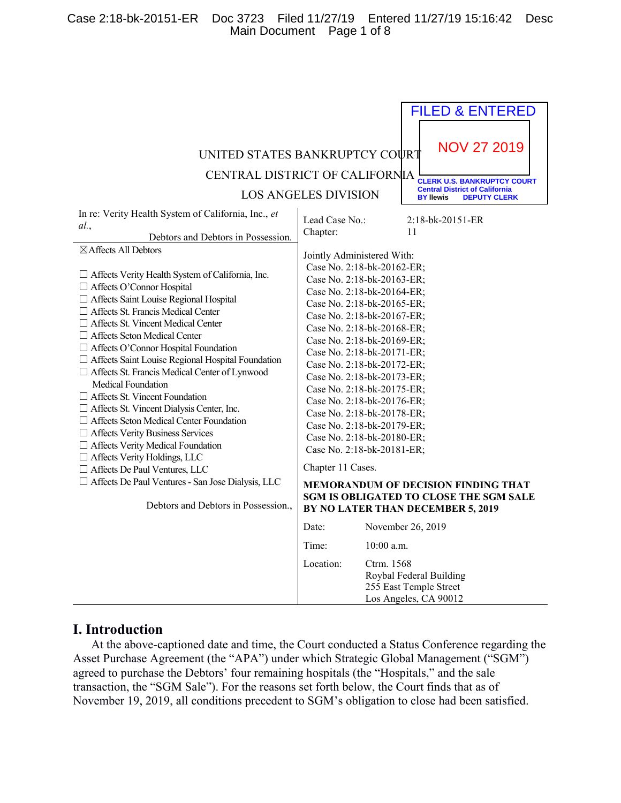## Case 2:18-bk-20151-ER Doc 3723 Filed 11/27/19 Entered 11/27/19 15:16:42 Desc Main Document Page 1 of 8

| UNITED STATES BANKRUPTCY COURT<br><b>CENTRAL DISTRICT OF CALIFORNIA</b>                                                                                                                                                                                                                                                                                                                                                                                                                                                                                                                                                                                                                                                                                                                                                                                                                                                                                                  | <b>LOS ANGELES DIVISION</b>                                                   | <b>FILED &amp; ENTERED</b><br><b>NOV 27 2019</b><br><b>CLERK U.S. BANKRUPTCY COURT</b><br><b>Central District of California</b><br><b>DEPUTY CLERK</b><br><b>BY llewis</b>                                                                                                                                                                                                                                                                                                                                                                                                                                                                          |
|--------------------------------------------------------------------------------------------------------------------------------------------------------------------------------------------------------------------------------------------------------------------------------------------------------------------------------------------------------------------------------------------------------------------------------------------------------------------------------------------------------------------------------------------------------------------------------------------------------------------------------------------------------------------------------------------------------------------------------------------------------------------------------------------------------------------------------------------------------------------------------------------------------------------------------------------------------------------------|-------------------------------------------------------------------------------|-----------------------------------------------------------------------------------------------------------------------------------------------------------------------------------------------------------------------------------------------------------------------------------------------------------------------------------------------------------------------------------------------------------------------------------------------------------------------------------------------------------------------------------------------------------------------------------------------------------------------------------------------------|
| In re: Verity Health System of California, Inc., et<br>al.<br>Debtors and Debtors in Possession.<br>⊠Affects All Debtors<br>$\Box$ Affects Verity Health System of California, Inc.<br>□ Affects O'Connor Hospital<br>□ Affects Saint Louise Regional Hospital<br>□ Affects St. Francis Medical Center<br>$\Box$ Affects St. Vincent Medical Center<br>$\Box$ Affects Seton Medical Center<br>$\Box$ Affects O'Connor Hospital Foundation<br>□ Affects Saint Louise Regional Hospital Foundation<br>□ Affects St. Francis Medical Center of Lynwood<br>Medical Foundation<br>$\Box$ Affects St. Vincent Foundation<br>□ Affects St. Vincent Dialysis Center, Inc.<br>$\Box$ Affects Seton Medical Center Foundation<br>□ Affects Verity Business Services<br>$\Box$ Affects Verity Medical Foundation<br>□ Affects Verity Holdings, LLC<br>□ Affects De Paul Ventures, LLC<br>□ Affects De Paul Ventures - San Jose Dialysis, LLC<br>Debtors and Debtors in Possession., | Lead Case No.:<br>Chapter:<br>Jointly Administered With:<br>Chapter 11 Cases. | 2:18-bk-20151-ER<br>11<br>Case No. 2:18-bk-20162-ER;<br>Case No. 2:18-bk-20163-ER;<br>Case No. 2:18-bk-20164-ER;<br>Case No. 2:18-bk-20165-ER;<br>Case No. 2:18-bk-20167-ER;<br>Case No. 2:18-bk-20168-ER;<br>Case No. 2:18-bk-20169-ER;<br>Case No. 2:18-bk-20171-ER;<br>Case No. 2:18-bk-20172-ER;<br>Case No. 2:18-bk-20173-ER;<br>Case No. 2:18-bk-20175-ER;<br>Case No. 2:18-bk-20176-ER;<br>Case No. 2:18-bk-20178-ER;<br>Case No. 2:18-bk-20179-ER;<br>Case No. 2:18-bk-20180-ER;<br>Case No. 2:18-bk-20181-ER;<br><b>MEMORANDUM OF DECISION FINDING THAT</b><br>SGM IS OBLIGATED TO CLOSE THE SGM SALE<br>BY NO LATER THAN DECEMBER 5, 2019 |
|                                                                                                                                                                                                                                                                                                                                                                                                                                                                                                                                                                                                                                                                                                                                                                                                                                                                                                                                                                          | Date:                                                                         | November 26, 2019                                                                                                                                                                                                                                                                                                                                                                                                                                                                                                                                                                                                                                   |
|                                                                                                                                                                                                                                                                                                                                                                                                                                                                                                                                                                                                                                                                                                                                                                                                                                                                                                                                                                          | Time:                                                                         | 10:00 a.m.                                                                                                                                                                                                                                                                                                                                                                                                                                                                                                                                                                                                                                          |
|                                                                                                                                                                                                                                                                                                                                                                                                                                                                                                                                                                                                                                                                                                                                                                                                                                                                                                                                                                          | Location:                                                                     | Ctrm. 1568<br>Roybal Federal Building<br>255 East Temple Street<br>Los Angeles, CA 90012                                                                                                                                                                                                                                                                                                                                                                                                                                                                                                                                                            |

# **I. Introduction**

At the above-captioned date and time, the Court conducted a Status Conference regarding the Asset Purchase Agreement (the "APA") under which Strategic Global Management ("SGM") agreed to purchase the Debtors' four remaining hospitals (the "Hospitals," and the sale transaction, the "SGM Sale"). For the reasons set forth below, the Court finds that as of November 19, 2019, all conditions precedent to SGM's obligation to close had been satisfied.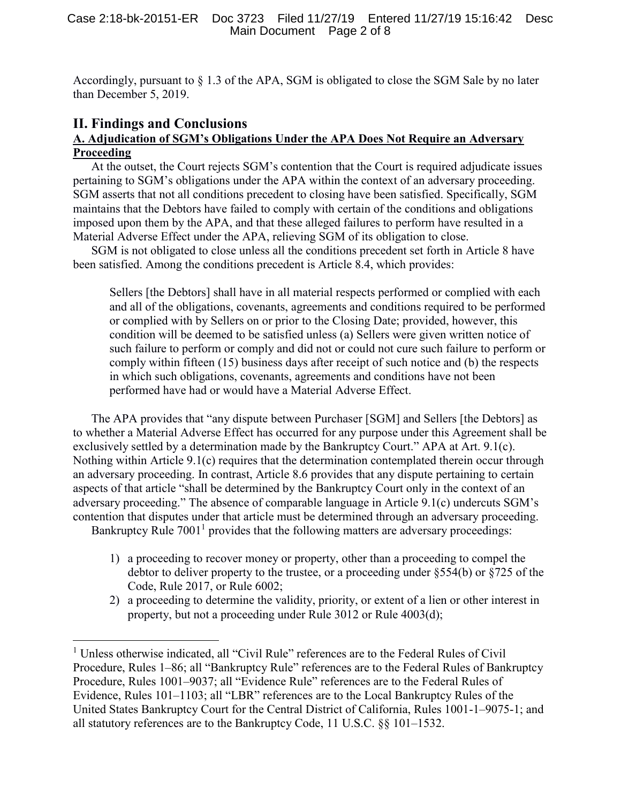Accordingly, pursuant to § 1.3 of the APA, SGM is obligated to close the SGM Sale by no later than December 5, 2019.

# **II. Findings and Conclusions**

 $\overline{\phantom{a}}$ 

## **A. Adjudication of SGM's Obligations Under the APA Does Not Require an Adversary Proceeding**

At the outset, the Court rejects SGM's contention that the Court is required adjudicate issues pertaining to SGM's obligations under the APA within the context of an adversary proceeding. SGM asserts that not all conditions precedent to closing have been satisfied. Specifically, SGM maintains that the Debtors have failed to comply with certain of the conditions and obligations imposed upon them by the APA, and that these alleged failures to perform have resulted in a Material Adverse Effect under the APA, relieving SGM of its obligation to close.

SGM is not obligated to close unless all the conditions precedent set forth in Article 8 have been satisfied. Among the conditions precedent is Article 8.4, which provides:

Sellers [the Debtors] shall have in all material respects performed or complied with each and all of the obligations, covenants, agreements and conditions required to be performed or complied with by Sellers on or prior to the Closing Date; provided, however, this condition will be deemed to be satisfied unless (a) Sellers were given written notice of such failure to perform or comply and did not or could not cure such failure to perform or comply within fifteen (15) business days after receipt of such notice and (b) the respects in which such obligations, covenants, agreements and conditions have not been performed have had or would have a Material Adverse Effect.

The APA provides that "any dispute between Purchaser [SGM] and Sellers [the Debtors] as to whether a Material Adverse Effect has occurred for any purpose under this Agreement shall be exclusively settled by a determination made by the Bankruptcy Court." APA at Art. 9.1(c). Nothing within Article 9.1(c) requires that the determination contemplated therein occur through an adversary proceeding. In contrast, Article 8.6 provides that any dispute pertaining to certain aspects of that article "shall be determined by the Bankruptcy Court only in the context of an adversary proceeding." The absence of comparable language in Article 9.1(c) undercuts SGM's contention that disputes under that article must be determined through an adversary proceeding.

Bankruptcy Rule  $7001<sup>1</sup>$  provides that the following matters are adversary proceedings:

- 1) a proceeding to recover money or property, other than a proceeding to compel the debtor to deliver property to the trustee, or a proceeding under  $\S 554(b)$  or  $\S 725$  of the Code, Rule 2017, or Rule 6002;
- 2) a proceeding to determine the validity, priority, or extent of a lien or other interest in property, but not a proceeding under Rule 3012 or Rule 4003(d);

<sup>&</sup>lt;sup>1</sup> Unless otherwise indicated, all "Civil Rule" references are to the Federal Rules of Civil Procedure, Rules 1–86; all "Bankruptcy Rule" references are to the Federal Rules of Bankruptcy Procedure, Rules 1001–9037; all "Evidence Rule" references are to the Federal Rules of Evidence, Rules 101–1103; all "LBR" references are to the Local Bankruptcy Rules of the United States Bankruptcy Court for the Central District of California, Rules 1001-1–9075-1; and all statutory references are to the Bankruptcy Code, 11 U.S.C. §§ 101–1532.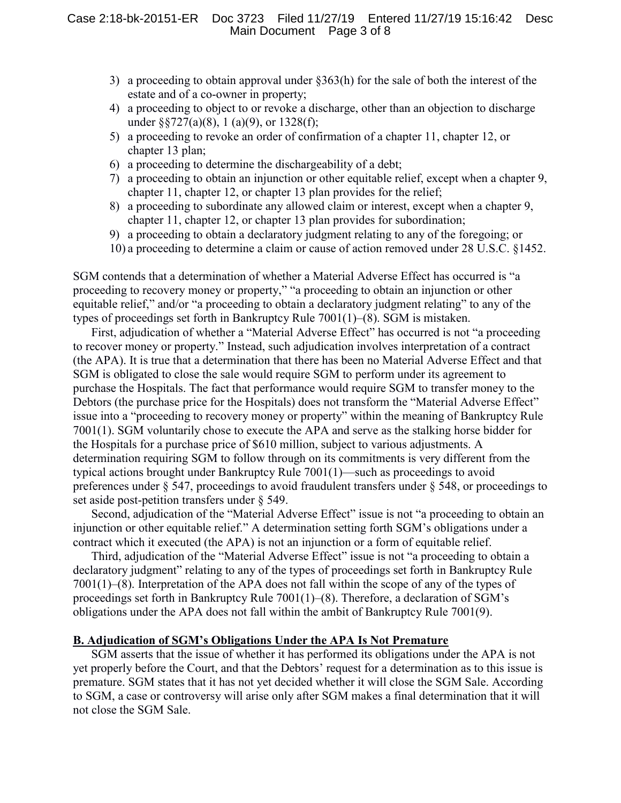- 3) a proceeding to obtain approval under §363(h) for the sale of both the interest of the estate and of a co-owner in property;
- 4) a proceeding to object to or revoke a discharge, other than an objection to discharge under §§727(a)(8), 1 (a)(9), or 1328(f);
- 5) a proceeding to revoke an order of confirmation of a chapter 11, chapter 12, or chapter 13 plan;
- 6) a proceeding to determine the dischargeability of a debt;
- 7) a proceeding to obtain an injunction or other equitable relief, except when a chapter 9, chapter 11, chapter 12, or chapter 13 plan provides for the relief;
- 8) a proceeding to subordinate any allowed claim or interest, except when a chapter 9, chapter 11, chapter 12, or chapter 13 plan provides for subordination;
- 9) a proceeding to obtain a declaratory judgment relating to any of the foregoing; or
- 10) a proceeding to determine a claim or cause of action removed under 28 U.S.C. §1452.

SGM contends that a determination of whether a Material Adverse Effect has occurred is "a proceeding to recovery money or property," "a proceeding to obtain an injunction or other equitable relief," and/or "a proceeding to obtain a declaratory judgment relating" to any of the types of proceedings set forth in Bankruptcy Rule 7001(1)–(8). SGM is mistaken.

First, adjudication of whether a "Material Adverse Effect" has occurred is not "a proceeding to recover money or property." Instead, such adjudication involves interpretation of a contract (the APA). It is true that a determination that there has been no Material Adverse Effect and that SGM is obligated to close the sale would require SGM to perform under its agreement to purchase the Hospitals. The fact that performance would require SGM to transfer money to the Debtors (the purchase price for the Hospitals) does not transform the "Material Adverse Effect" issue into a "proceeding to recovery money or property" within the meaning of Bankruptcy Rule 7001(1). SGM voluntarily chose to execute the APA and serve as the stalking horse bidder for the Hospitals for a purchase price of \$610 million, subject to various adjustments. A determination requiring SGM to follow through on its commitments is very different from the typical actions brought under Bankruptcy Rule 7001(1)—such as proceedings to avoid preferences under § 547, proceedings to avoid fraudulent transfers under § 548, or proceedings to set aside post-petition transfers under § 549.

Second, adjudication of the "Material Adverse Effect" issue is not "a proceeding to obtain an injunction or other equitable relief." A determination setting forth SGM's obligations under a contract which it executed (the APA) is not an injunction or a form of equitable relief.

Third, adjudication of the "Material Adverse Effect" issue is not "a proceeding to obtain a declaratory judgment" relating to any of the types of proceedings set forth in Bankruptcy Rule 7001(1)–(8). Interpretation of the APA does not fall within the scope of any of the types of proceedings set forth in Bankruptcy Rule 7001(1)–(8). Therefore, a declaration of SGM's obligations under the APA does not fall within the ambit of Bankruptcy Rule 7001(9).

### **B. Adjudication of SGM's Obligations Under the APA Is Not Premature**

SGM asserts that the issue of whether it has performed its obligations under the APA is not yet properly before the Court, and that the Debtors' request for a determination as to this issue is premature. SGM states that it has not yet decided whether it will close the SGM Sale. According to SGM, a case or controversy will arise only after SGM makes a final determination that it will not close the SGM Sale.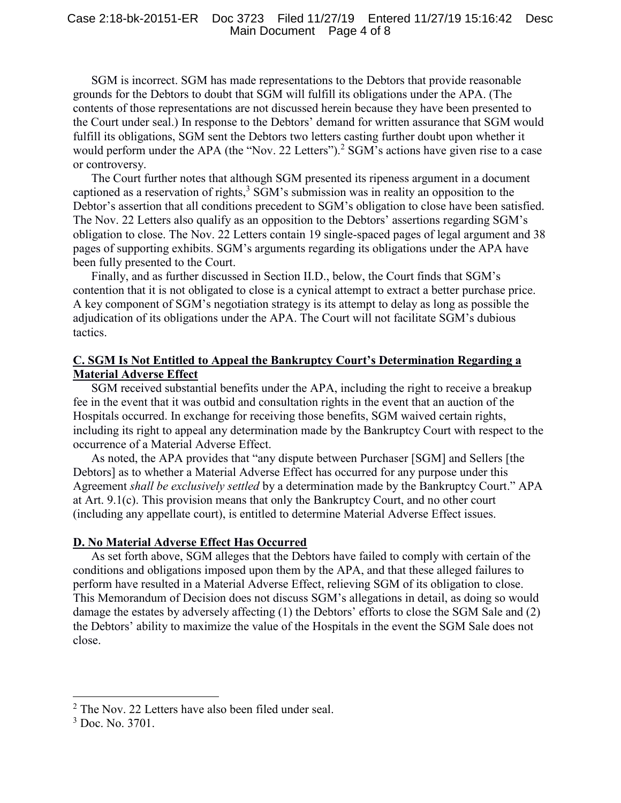#### Case 2:18-bk-20151-ER Doc 3723 Filed 11/27/19 Entered 11/27/19 15:16:42 Desc Main Document Page 4 of 8

SGM is incorrect. SGM has made representations to the Debtors that provide reasonable grounds for the Debtors to doubt that SGM will fulfill its obligations under the APA. (The contents of those representations are not discussed herein because they have been presented to the Court under seal.) In response to the Debtors' demand for written assurance that SGM would fulfill its obligations, SGM sent the Debtors two letters casting further doubt upon whether it would perform under the APA (the "Nov. 22 Letters").<sup>2</sup> SGM's actions have given rise to a case or controversy.

The Court further notes that although SGM presented its ripeness argument in a document captioned as a reservation of rights, $3$  SGM's submission was in reality an opposition to the Debtor's assertion that all conditions precedent to SGM's obligation to close have been satisfied. The Nov. 22 Letters also qualify as an opposition to the Debtors' assertions regarding SGM's obligation to close. The Nov. 22 Letters contain 19 single-spaced pages of legal argument and 38 pages of supporting exhibits. SGM's arguments regarding its obligations under the APA have been fully presented to the Court.

Finally, and as further discussed in Section II.D., below, the Court finds that SGM's contention that it is not obligated to close is a cynical attempt to extract a better purchase price. A key component of SGM's negotiation strategy is its attempt to delay as long as possible the adjudication of its obligations under the APA. The Court will not facilitate SGM's dubious tactics.

## **C. SGM Is Not Entitled to Appeal the Bankruptcy Court's Determination Regarding a Material Adverse Effect**

SGM received substantial benefits under the APA, including the right to receive a breakup fee in the event that it was outbid and consultation rights in the event that an auction of the Hospitals occurred. In exchange for receiving those benefits, SGM waived certain rights, including its right to appeal any determination made by the Bankruptcy Court with respect to the occurrence of a Material Adverse Effect.

As noted, the APA provides that "any dispute between Purchaser [SGM] and Sellers [the Debtors] as to whether a Material Adverse Effect has occurred for any purpose under this Agreement *shall be exclusively settled* by a determination made by the Bankruptcy Court." APA at Art. 9.1(c). This provision means that only the Bankruptcy Court, and no other court (including any appellate court), is entitled to determine Material Adverse Effect issues.

## **D. No Material Adverse Effect Has Occurred**

As set forth above, SGM alleges that the Debtors have failed to comply with certain of the conditions and obligations imposed upon them by the APA, and that these alleged failures to perform have resulted in a Material Adverse Effect, relieving SGM of its obligation to close. This Memorandum of Decision does not discuss SGM's allegations in detail, as doing so would damage the estates by adversely affecting (1) the Debtors' efforts to close the SGM Sale and (2) the Debtors' ability to maximize the value of the Hospitals in the event the SGM Sale does not close.

 $\overline{a}$ 

 $2$  The Nov. 22 Letters have also been filed under seal.

 $3$  Doc. No. 3701.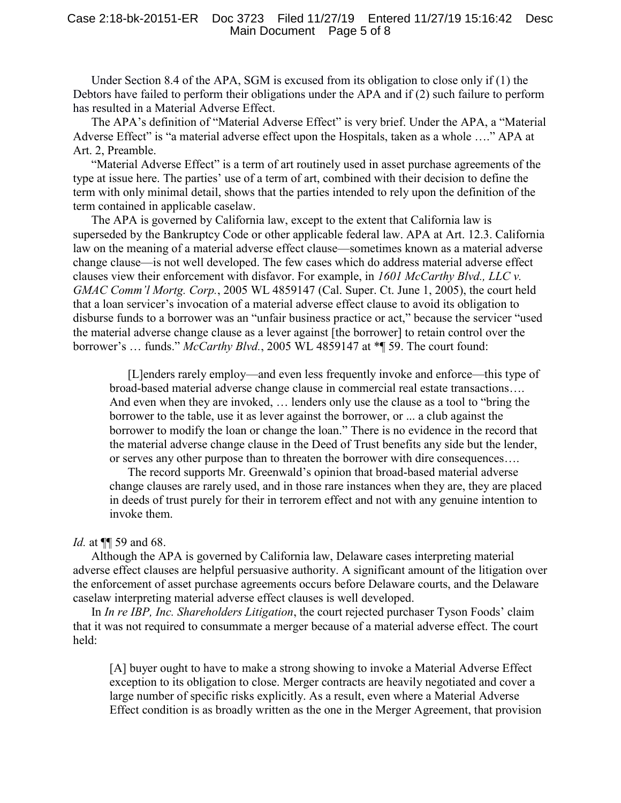Under Section 8.4 of the APA, SGM is excused from its obligation to close only if (1) the Debtors have failed to perform their obligations under the APA and if (2) such failure to perform has resulted in a Material Adverse Effect.

The APA's definition of "Material Adverse Effect" is very brief. Under the APA, a "Material Adverse Effect" is "a material adverse effect upon the Hospitals, taken as a whole …." APA at Art. 2, Preamble.

"Material Adverse Effect" is a term of art routinely used in asset purchase agreements of the type at issue here. The parties' use of a term of art, combined with their decision to define the term with only minimal detail, shows that the parties intended to rely upon the definition of the term contained in applicable caselaw.

The APA is governed by California law, except to the extent that California law is superseded by the Bankruptcy Code or other applicable federal law. APA at Art. 12.3. California law on the meaning of a material adverse effect clause—sometimes known as a material adverse change clause—is not well developed. The few cases which do address material adverse effect clauses view their enforcement with disfavor. For example, in *1601 McCarthy Blvd., LLC v. GMAC Comm'l Mortg. Corp.*, 2005 WL 4859147 (Cal. Super. Ct. June 1, 2005), the court held that a loan servicer's invocation of a material adverse effect clause to avoid its obligation to disburse funds to a borrower was an "unfair business practice or act," because the servicer "used the material adverse change clause as a lever against [the borrower] to retain control over the borrower's … funds." *McCarthy Blvd.*, 2005 WL 4859147 at \*¶ 59. The court found:

[L]enders rarely employ—and even less frequently invoke and enforce—this type of broad-based material adverse change clause in commercial real estate transactions…. And even when they are invoked, … lenders only use the clause as a tool to "bring the borrower to the table, use it as lever against the borrower, or ... a club against the borrower to modify the loan or change the loan." There is no evidence in the record that the material adverse change clause in the Deed of Trust benefits any side but the lender, or serves any other purpose than to threaten the borrower with dire consequences….

The record supports Mr. Greenwald's opinion that broad-based material adverse change clauses are rarely used, and in those rare instances when they are, they are placed in deeds of trust purely for their in terrorem effect and not with any genuine intention to invoke them.

## *Id.* at ¶¶ 59 and 68.

Although the APA is governed by California law, Delaware cases interpreting material adverse effect clauses are helpful persuasive authority. A significant amount of the litigation over the enforcement of asset purchase agreements occurs before Delaware courts, and the Delaware caselaw interpreting material adverse effect clauses is well developed.

In *In re IBP, Inc. Shareholders Litigation*, the court rejected purchaser Tyson Foods' claim that it was not required to consummate a merger because of a material adverse effect. The court held:

[A] buyer ought to have to make a strong showing to invoke a Material Adverse Effect exception to its obligation to close. Merger contracts are heavily negotiated and cover a large number of specific risks explicitly. As a result, even where a Material Adverse Effect condition is as broadly written as the one in the Merger Agreement, that provision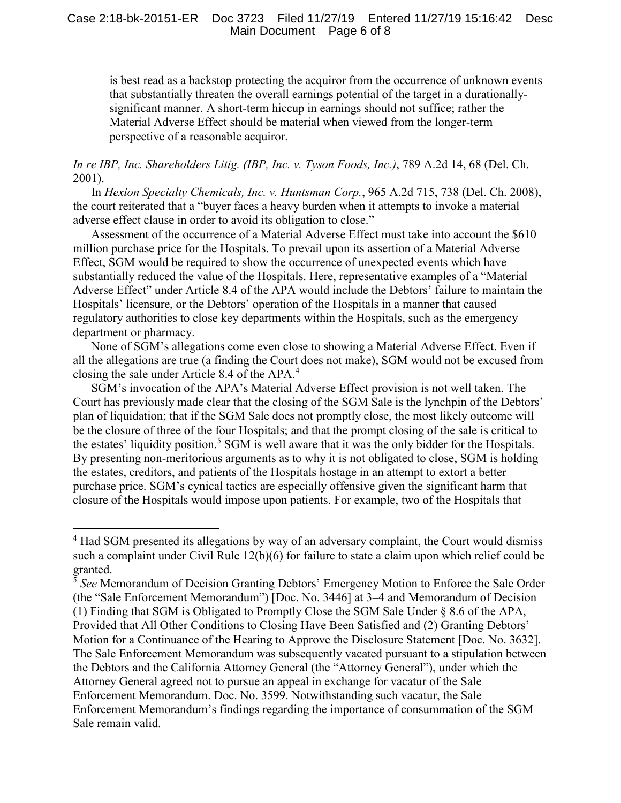## Case 2:18-bk-20151-ER Doc 3723 Filed 11/27/19 Entered 11/27/19 15:16:42 Desc Main Document Page 6 of 8

is best read as a backstop protecting the acquiror from the occurrence of unknown events that substantially threaten the overall earnings potential of the target in a durationallysignificant manner. A short-term hiccup in earnings should not suffice; rather the Material Adverse Effect should be material when viewed from the longer-term perspective of a reasonable acquiror.

*In re IBP, Inc. Shareholders Litig. (IBP, Inc. v. Tyson Foods, Inc.)*, 789 A.2d 14, 68 (Del. Ch. 2001).

In *Hexion Specialty Chemicals, Inc. v. Huntsman Corp.*, 965 A.2d 715, 738 (Del. Ch. 2008), the court reiterated that a "buyer faces a heavy burden when it attempts to invoke a material adverse effect clause in order to avoid its obligation to close."

Assessment of the occurrence of a Material Adverse Effect must take into account the \$610 million purchase price for the Hospitals. To prevail upon its assertion of a Material Adverse Effect, SGM would be required to show the occurrence of unexpected events which have substantially reduced the value of the Hospitals. Here, representative examples of a "Material Adverse Effect" under Article 8.4 of the APA would include the Debtors' failure to maintain the Hospitals' licensure, or the Debtors' operation of the Hospitals in a manner that caused regulatory authorities to close key departments within the Hospitals, such as the emergency department or pharmacy.

None of SGM's allegations come even close to showing a Material Adverse Effect. Even if all the allegations are true (a finding the Court does not make), SGM would not be excused from closing the sale under Article 8.4 of the APA.<sup>4</sup>

SGM's invocation of the APA's Material Adverse Effect provision is not well taken. The Court has previously made clear that the closing of the SGM Sale is the lynchpin of the Debtors' plan of liquidation; that if the SGM Sale does not promptly close, the most likely outcome will be the closure of three of the four Hospitals; and that the prompt closing of the sale is critical to the estates' liquidity position.<sup>5</sup> SGM is well aware that it was the only bidder for the Hospitals. By presenting non-meritorious arguments as to why it is not obligated to close, SGM is holding the estates, creditors, and patients of the Hospitals hostage in an attempt to extort a better purchase price. SGM's cynical tactics are especially offensive given the significant harm that closure of the Hospitals would impose upon patients. For example, two of the Hospitals that

l

<sup>&</sup>lt;sup>4</sup> Had SGM presented its allegations by way of an adversary complaint, the Court would dismiss such a complaint under Civil Rule 12(b)(6) for failure to state a claim upon which relief could be granted.

<sup>5</sup> *See* Memorandum of Decision Granting Debtors' Emergency Motion to Enforce the Sale Order (the "Sale Enforcement Memorandum") [Doc. No. 3446] at 3–4 and Memorandum of Decision (1) Finding that SGM is Obligated to Promptly Close the SGM Sale Under § 8.6 of the APA, Provided that All Other Conditions to Closing Have Been Satisfied and (2) Granting Debtors' Motion for a Continuance of the Hearing to Approve the Disclosure Statement [Doc. No. 3632]. The Sale Enforcement Memorandum was subsequently vacated pursuant to a stipulation between the Debtors and the California Attorney General (the "Attorney General"), under which the Attorney General agreed not to pursue an appeal in exchange for vacatur of the Sale Enforcement Memorandum. Doc. No. 3599. Notwithstanding such vacatur, the Sale Enforcement Memorandum's findings regarding the importance of consummation of the SGM Sale remain valid.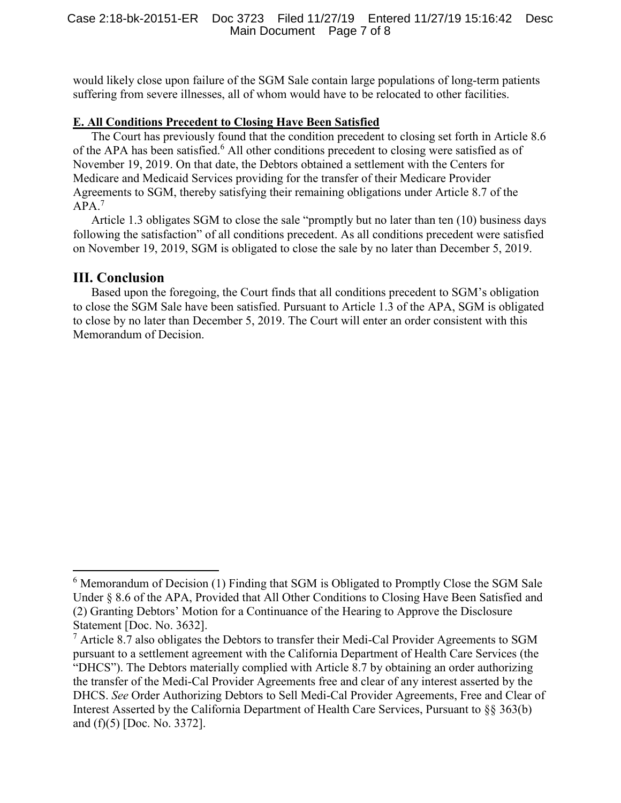would likely close upon failure of the SGM Sale contain large populations of long-term patients suffering from severe illnesses, all of whom would have to be relocated to other facilities.

## **E. All Conditions Precedent to Closing Have Been Satisfied**

The Court has previously found that the condition precedent to closing set forth in Article 8.6 of the APA has been satisfied.<sup>6</sup> All other conditions precedent to closing were satisfied as of November 19, 2019. On that date, the Debtors obtained a settlement with the Centers for Medicare and Medicaid Services providing for the transfer of their Medicare Provider Agreements to SGM, thereby satisfying their remaining obligations under Article 8.7 of the APA.<sup>7</sup>

Article 1.3 obligates SGM to close the sale "promptly but no later than ten (10) business days following the satisfaction" of all conditions precedent. As all conditions precedent were satisfied on November 19, 2019, SGM is obligated to close the sale by no later than December 5, 2019.

## **III. Conclusion**

 $\overline{\phantom{a}}$ 

Based upon the foregoing, the Court finds that all conditions precedent to SGM's obligation to close the SGM Sale have been satisfied. Pursuant to Article 1.3 of the APA, SGM is obligated to close by no later than December 5, 2019. The Court will enter an order consistent with this Memorandum of Decision.

<sup>&</sup>lt;sup>6</sup> Memorandum of Decision (1) Finding that SGM is Obligated to Promptly Close the SGM Sale Under § 8.6 of the APA, Provided that All Other Conditions to Closing Have Been Satisfied and (2) Granting Debtors' Motion for a Continuance of the Hearing to Approve the Disclosure Statement [Doc. No. 3632].

 $7$  Article 8.7 also obligates the Debtors to transfer their Medi-Cal Provider Agreements to SGM pursuant to a settlement agreement with the California Department of Health Care Services (the "DHCS"). The Debtors materially complied with Article 8.7 by obtaining an order authorizing the transfer of the Medi-Cal Provider Agreements free and clear of any interest asserted by the DHCS. *See* Order Authorizing Debtors to Sell Medi-Cal Provider Agreements, Free and Clear of Interest Asserted by the California Department of Health Care Services, Pursuant to §§ 363(b) and (f)(5) [Doc. No. 3372].